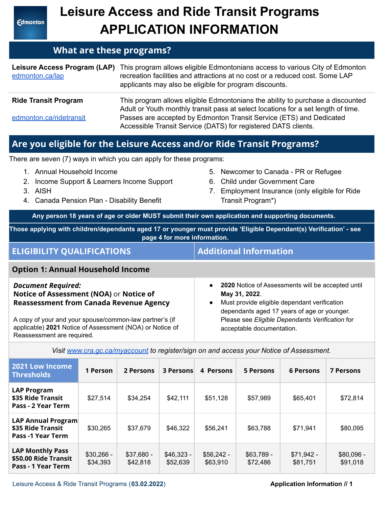**Edmonton** 

# **Leisure Access and Ride Transit Programs APPLICATION INFORMATION**

## **What are these programs?**

| edmonton.ca/lap             | Leisure Access Program (LAP) This program allows eligible Edmontonians access to various City of Edmonton<br>recreation facilities and attractions at no cost or a reduced cost. Some LAP<br>applicants may also be eligible for program discounts. |
|-----------------------------|-----------------------------------------------------------------------------------------------------------------------------------------------------------------------------------------------------------------------------------------------------|
| <b>Ride Transit Program</b> | This program allows eligible Edmontonians the ability to purchase a discounted<br>Adult or Youth monthly transit pass at select locations for a set length of time.                                                                                 |
| edmonton.ca/ridetransit     | Passes are accepted by Edmonton Transit Service (ETS) and Dedicated<br>Accessible Transit Service (DATS) for registered DATS clients.                                                                                                               |

# **Are you eligible for the Leisure Access and/or Ride Transit Programs?**

There are seven (7) ways in which you can apply for these programs:

- 1. Annual Household Income
- 2. Income Support & Learners Income Support
- 3. AISH

Reassessment are required.

- 4. Canada Pension Plan Disability Benefit
- 5. Newcomer to Canada PR or Refugee
- 6. Child under Government Care
- 7. Employment Insurance (only eligible for Ride Transit Program\*)

**Any person 18 years of age or older MUST submit their own application and supporting documents.**

**Those applying with children/dependants aged 17 or younger must provide 'Eligible Dependant(s) Verification' - see page 4 for more information.**

| <b>ELIGIBILITY QUALIFICATIONS</b>                                                                                      | <b>Additional Information</b>                                                                                                                                                               |
|------------------------------------------------------------------------------------------------------------------------|---------------------------------------------------------------------------------------------------------------------------------------------------------------------------------------------|
| <b>Option 1: Annual Household Income</b>                                                                               |                                                                                                                                                                                             |
| <b>Document Required:</b><br>Notice of Assessment (NOA) or Notice of<br><b>Reassessment from Canada Revenue Agency</b> | 2020 Notice of Assessments will be accepted until<br>$\bullet$<br>May 31, 2022.<br>Must provide eligible dependant verification<br>$\bullet$<br>dependants aged 17 years of age or younger. |
| A copy of your and your spouse/common-law partner's (if<br>applicable) 2021 Notice of Assessment (NOA) or Notice of    | Please see Eligible Dependants Verification for<br>acceptable documentation.                                                                                                                |

*Visit [www.cra.gc.ca/myaccount](https://www.canada.ca/en/revenue-agency/services/e-services/e-services-individuals/account-individuals.html) to register/sign on and access your Notice of Assessment.*

| 2021 Low Income<br><b>Thresholds</b>                                       | 1 Person                | 2 Persons               | <b>3 Persons</b>        | 4 Persons               | 5 Persons              | <b>6 Persons</b>        | <b>7 Persons</b>       |
|----------------------------------------------------------------------------|-------------------------|-------------------------|-------------------------|-------------------------|------------------------|-------------------------|------------------------|
| <b>LAP Program</b><br>\$35 Ride Transit<br>Pass - 2 Year Term              | \$27,514                | \$34,254                | \$42,111                | \$51,128                | \$57,989               | \$65,401                | \$72,814               |
| <b>LAP Annual Program</b><br>\$35 Ride Transit<br><b>Pass -1 Year Term</b> | \$30,265                | \$37,679                | \$46,322                | \$56,241                | \$63,788               | \$71,941                | \$80,095               |
| <b>LAP Monthly Pass</b><br>\$50.00 Ride Transit<br>Pass - 1 Year Term      | $$30,266 -$<br>\$34,393 | $$37,680 -$<br>\$42,818 | $$46,323 -$<br>\$52,639 | $$56,242 -$<br>\$63,910 | $$63,789-$<br>\$72,486 | $$71,942 -$<br>\$81,751 | \$80,096 -<br>\$91,018 |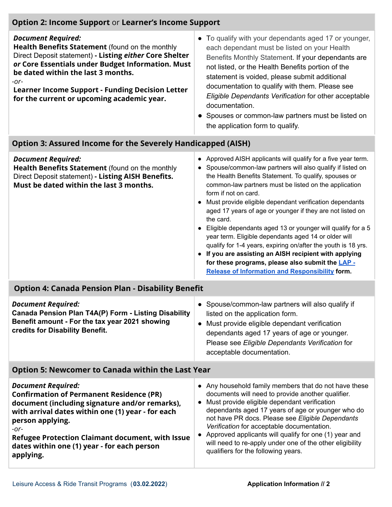### **Option 2: Income Support** or **Learner's Income Support**

#### *Document Required:*

**Health Benefits Statement** (found on the monthly Direct Deposit statement) **- Listing** *either* **Core Shelter** *or* **Core Essentials under Budget Information. Must be dated within the last 3 months.** *-or-*

**Learner Income Support - Funding Decision Letter for the current or upcoming academic year.**

- To qualify with your dependants aged 17 or younger, each dependant must be listed on your Health Benefits Monthly Statement. If your dependants are not listed, or the Health Benefits portion of the statement is voided, please submit additional documentation to qualify with them. Please see *Eligible Dependants Verification* for other acceptable documentation.
- Spouses or common-law partners must be listed on the application form to qualify.

#### **Option 3: Assured Income for the Severely Handicapped (AISH)**

| <b>Document Required:</b><br>Health Benefits Statement (found on the monthly<br>Direct Deposit statement) - Listing AISH Benefits.<br>Must be dated within the last 3 months.                                                                                              | Approved AISH applicants will qualify for a five year term.<br>• Spouse/common-law partners will also qualify if listed on<br>the Health Benefits Statement. To qualify, spouses or<br>common-law partners must be listed on the application<br>form if not on card.<br>Must provide eligible dependant verification dependants<br>aged 17 years of age or younger if they are not listed on<br>the card.<br>Eligible dependants aged 13 or younger will qualify for a 5<br>year term. Eligible dependants aged 14 or older will<br>qualify for 1-4 years, expiring on/after the youth is 18 yrs.<br>• If you are assisting an AISH recipient with applying<br>for these programs, please also submit the LAP -<br>Release of Information and Responsibility form. |  |  |  |  |
|----------------------------------------------------------------------------------------------------------------------------------------------------------------------------------------------------------------------------------------------------------------------------|--------------------------------------------------------------------------------------------------------------------------------------------------------------------------------------------------------------------------------------------------------------------------------------------------------------------------------------------------------------------------------------------------------------------------------------------------------------------------------------------------------------------------------------------------------------------------------------------------------------------------------------------------------------------------------------------------------------------------------------------------------------------|--|--|--|--|
| <b>Option 4: Canada Pension Plan - Disability Benefit</b>                                                                                                                                                                                                                  |                                                                                                                                                                                                                                                                                                                                                                                                                                                                                                                                                                                                                                                                                                                                                                    |  |  |  |  |
| <b>Document Required:</b><br>Canada Pension Plan T4A(P) Form - Listing Disability<br>Benefit amount - For the tax year 2021 showing<br>credits for Disability Benefit.                                                                                                     | • Spouse/common-law partners will also qualify if<br>listed on the application form.<br>• Must provide eligible dependant verification<br>dependants aged 17 years of age or younger.<br>Please see Eligible Dependants Verification for<br>acceptable documentation.                                                                                                                                                                                                                                                                                                                                                                                                                                                                                              |  |  |  |  |
| <b>Option 5: Newcomer to Canada within the Last Year</b>                                                                                                                                                                                                                   |                                                                                                                                                                                                                                                                                                                                                                                                                                                                                                                                                                                                                                                                                                                                                                    |  |  |  |  |
| <b>Document Required:</b><br><b>Confirmation of Permanent Residence (PR)</b><br>document (including signature and/or remarks),<br>with arrival dates within one (1) year - for each<br>person applying.<br>-or-<br><b>Defugee Drotection Claimant document, with Iccup</b> | • Any household family members that do not have these<br>documents will need to provide another qualifier.<br>• Must provide eligible dependant verification<br>dependants aged 17 years of age or younger who do<br>not have PR docs. Please see Eligible Dependants<br>Verification for acceptable documentation.<br>• Approved applicants will qualify for one (1) year and                                                                                                                                                                                                                                                                                                                                                                                     |  |  |  |  |

**Refugee Protection Claimant document, with Issue dates within one (1) year - for each person applying.**

will need to re-apply under one of the other eligibility

qualifiers for the following years.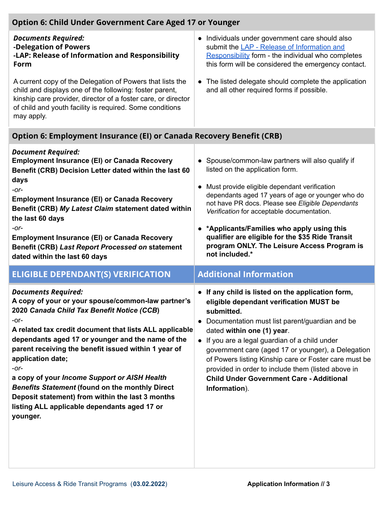| <b>Option 6: Child Under Government Care Aged 17 or Younger</b>                                                                                                                                                                                                                                                                                                                                                                                              |                                                                                                                                                                                                                                                                                                                                                                                                                                                                      |  |  |  |  |  |
|--------------------------------------------------------------------------------------------------------------------------------------------------------------------------------------------------------------------------------------------------------------------------------------------------------------------------------------------------------------------------------------------------------------------------------------------------------------|----------------------------------------------------------------------------------------------------------------------------------------------------------------------------------------------------------------------------------------------------------------------------------------------------------------------------------------------------------------------------------------------------------------------------------------------------------------------|--|--|--|--|--|
| <b>Documents Required:</b><br>-Delegation of Powers<br>-LAP: Release of Information and Responsibility<br>Form                                                                                                                                                                                                                                                                                                                                               | • Individuals under government care should also<br>submit the LAP - Release of Information and<br>Responsibility form - the individual who completes<br>this form will be considered the emergency contact.                                                                                                                                                                                                                                                          |  |  |  |  |  |
| A current copy of the Delegation of Powers that lists the<br>child and displays one of the following: foster parent,<br>kinship care provider, director of a foster care, or director<br>of child and youth facility is required. Some conditions<br>may apply.                                                                                                                                                                                              | The listed delegate should complete the application<br>$\bullet$<br>and all other required forms if possible.                                                                                                                                                                                                                                                                                                                                                        |  |  |  |  |  |
| Option 6: Employment Insurance (EI) or Canada Recovery Benefit (CRB)                                                                                                                                                                                                                                                                                                                                                                                         |                                                                                                                                                                                                                                                                                                                                                                                                                                                                      |  |  |  |  |  |
| <b>Document Required:</b><br><b>Employment Insurance (EI) or Canada Recovery</b><br>Benefit (CRB) Decision Letter dated within the last 60<br>days<br>$-Or-$<br><b>Employment Insurance (EI) or Canada Recovery</b><br>Benefit (CRB) My Latest Claim statement dated within<br>the last 60 days<br>$-Or-$<br><b>Employment Insurance (EI) or Canada Recovery</b><br><b>Benefit (CRB) Last Report Processed on statement</b><br>dated within the last 60 days | Spouse/common-law partners will also qualify if<br>listed on the application form.<br>Must provide eligible dependant verification<br>dependants aged 17 years of age or younger who do<br>not have PR docs. Please see Eligible Dependants<br>Verification for acceptable documentation.<br>• *Applicants/Families who apply using this<br>qualifier are eligible for the \$35 Ride Transit<br>program ONLY. The Leisure Access Program is<br>not included.*        |  |  |  |  |  |
| <b>ELIGIBLE DEPENDANT(S) VERIFICATION</b>                                                                                                                                                                                                                                                                                                                                                                                                                    | <b>Additional Information</b>                                                                                                                                                                                                                                                                                                                                                                                                                                        |  |  |  |  |  |
| <b>Documents Required:</b><br>A copy of your or your spouse/common-law partner's<br>2020 Canada Child Tax Benefit Notice (CCB)<br>-or-<br>A related tax credit document that lists ALL applicable<br>dependants aged 17 or younger and the name of the<br>parent receiving the benefit issued within 1 year of<br>application date;<br>$-$ or $-$<br>a copy of your Income Support or AISH Health                                                            | • If any child is listed on the application form,<br>eligible dependant verification MUST be<br>submitted.<br>Documentation must list parent/guardian and be<br>dated within one (1) year.<br>• If you are a legal guardian of a child under<br>government care (aged 17 or younger), a Delegation<br>of Powers listing Kinship care or Foster care must be<br>provided in order to include them (listed above in<br><b>Child Under Government Care - Additional</b> |  |  |  |  |  |
| <b>Benefits Statement (found on the monthly Direct</b>                                                                                                                                                                                                                                                                                                                                                                                                       | Information).                                                                                                                                                                                                                                                                                                                                                                                                                                                        |  |  |  |  |  |

**Deposit statement) from within the last 3 months listing ALL applicable dependants aged 17 or**

**younger.**